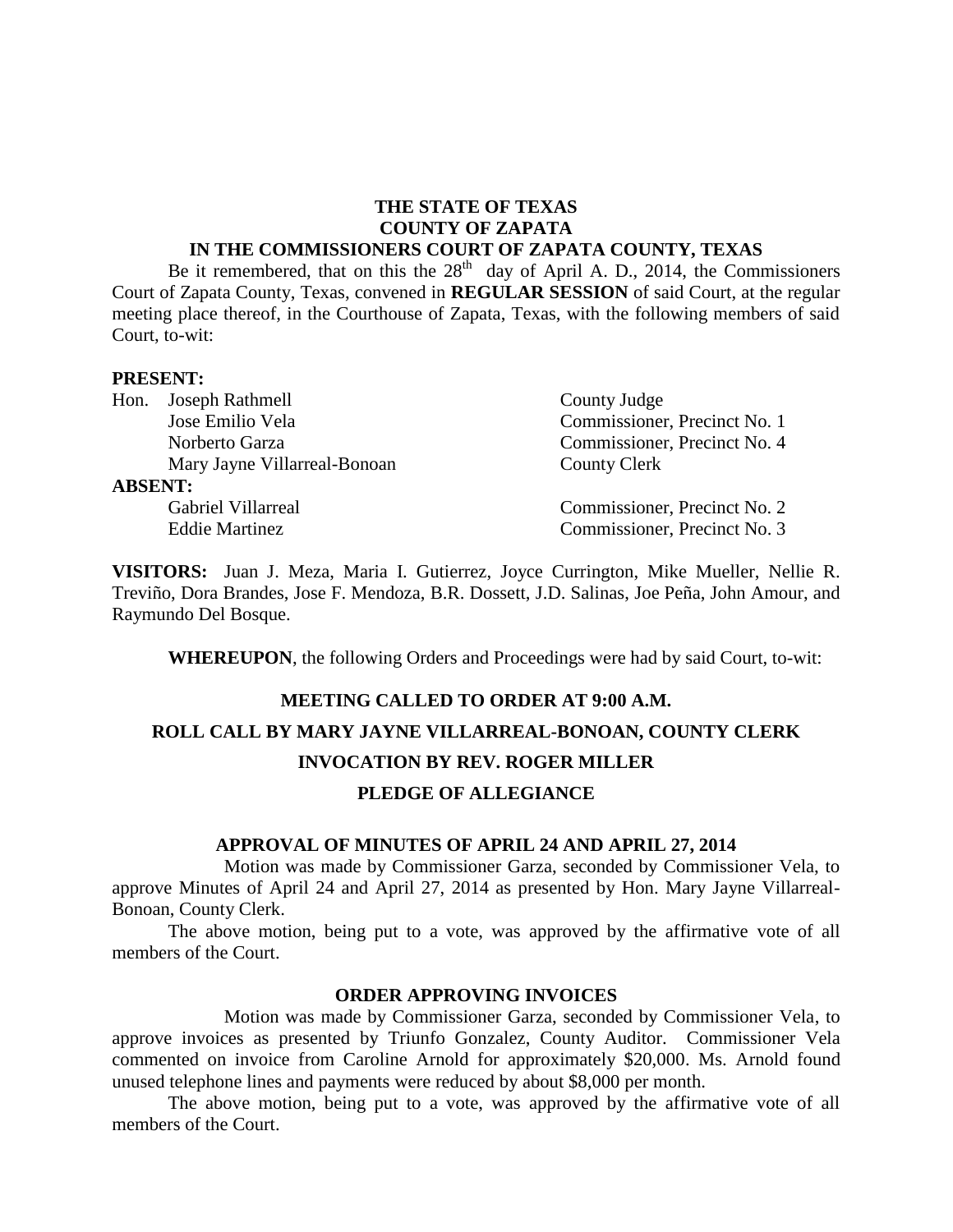# **THE STATE OF TEXAS COUNTY OF ZAPATA**

#### **IN THE COMMISSIONERS COURT OF ZAPATA COUNTY, TEXAS**

Be it remembered, that on this the  $28<sup>th</sup>$  day of April A. D., 2014, the Commissioners Court of Zapata County, Texas, convened in **REGULAR SESSION** of said Court, at the regular meeting place thereof, in the Courthouse of Zapata, Texas, with the following members of said Court, to-wit:

#### **PRESENT:**

|                | Hon. Joseph Rathmell         | County Judge                 |
|----------------|------------------------------|------------------------------|
|                | Jose Emilio Vela             | Commissioner, Precinct No. 1 |
|                | Norberto Garza               | Commissioner, Precinct No. 4 |
|                | Mary Jayne Villarreal-Bonoan | County Clerk                 |
| <b>ABSENT:</b> |                              |                              |
|                | Gabriel Villarreal           | Commissioner, Precinct No. 2 |
|                | <b>Eddie Martinez</b>        | Commissioner, Precinct No. 3 |

**VISITORS:** Juan J. Meza, Maria I. Gutierrez, Joyce Currington, Mike Mueller, Nellie R. Treviño, Dora Brandes, Jose F. Mendoza, B.R. Dossett, J.D. Salinas, Joe Peña, John Amour, and Raymundo Del Bosque.

**WHEREUPON**, the following Orders and Proceedings were had by said Court, to-wit:

# **MEETING CALLED TO ORDER AT 9:00 A.M. ROLL CALL BY MARY JAYNE VILLARREAL-BONOAN, COUNTY CLERK INVOCATION BY REV. ROGER MILLER PLEDGE OF ALLEGIANCE**

#### **APPROVAL OF MINUTES OF APRIL 24 AND APRIL 27, 2014**

Motion was made by Commissioner Garza, seconded by Commissioner Vela, to approve Minutes of April 24 and April 27, 2014 as presented by Hon. Mary Jayne Villarreal-Bonoan, County Clerk.

The above motion, being put to a vote, was approved by the affirmative vote of all members of the Court.

### **ORDER APPROVING INVOICES**

Motion was made by Commissioner Garza, seconded by Commissioner Vela, to approve invoices as presented by Triunfo Gonzalez, County Auditor. Commissioner Vela commented on invoice from Caroline Arnold for approximately \$20,000. Ms. Arnold found unused telephone lines and payments were reduced by about \$8,000 per month.

The above motion, being put to a vote, was approved by the affirmative vote of all members of the Court.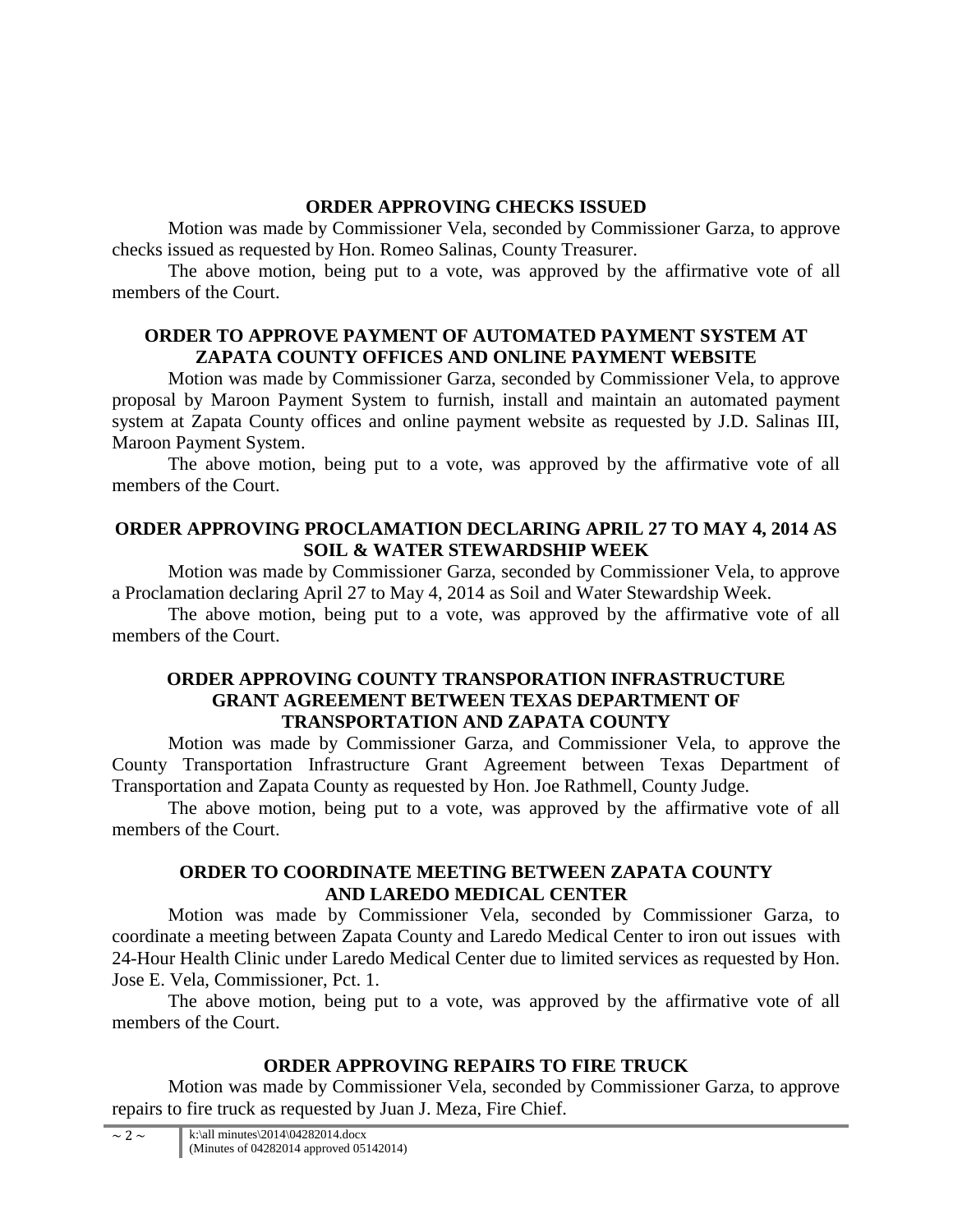# **ORDER APPROVING CHECKS ISSUED**

Motion was made by Commissioner Vela, seconded by Commissioner Garza, to approve checks issued as requested by Hon. Romeo Salinas, County Treasurer.

The above motion, being put to a vote, was approved by the affirmative vote of all members of the Court.

# **ORDER TO APPROVE PAYMENT OF AUTOMATED PAYMENT SYSTEM AT ZAPATA COUNTY OFFICES AND ONLINE PAYMENT WEBSITE**

Motion was made by Commissioner Garza, seconded by Commissioner Vela, to approve proposal by Maroon Payment System to furnish, install and maintain an automated payment system at Zapata County offices and online payment website as requested by J.D. Salinas III, Maroon Payment System.

The above motion, being put to a vote, was approved by the affirmative vote of all members of the Court.

## **ORDER APPROVING PROCLAMATION DECLARING APRIL 27 TO MAY 4, 2014 AS SOIL & WATER STEWARDSHIP WEEK**

Motion was made by Commissioner Garza, seconded by Commissioner Vela, to approve a Proclamation declaring April 27 to May 4, 2014 as Soil and Water Stewardship Week.

The above motion, being put to a vote, was approved by the affirmative vote of all members of the Court.

## **ORDER APPROVING COUNTY TRANSPORATION INFRASTRUCTURE GRANT AGREEMENT BETWEEN TEXAS DEPARTMENT OF TRANSPORTATION AND ZAPATA COUNTY**

Motion was made by Commissioner Garza, and Commissioner Vela, to approve the County Transportation Infrastructure Grant Agreement between Texas Department of Transportation and Zapata County as requested by Hon. Joe Rathmell, County Judge.

The above motion, being put to a vote, was approved by the affirmative vote of all members of the Court.

# **ORDER TO COORDINATE MEETING BETWEEN ZAPATA COUNTY AND LAREDO MEDICAL CENTER**

Motion was made by Commissioner Vela, seconded by Commissioner Garza, to coordinate a meeting between Zapata County and Laredo Medical Center to iron out issues with 24-Hour Health Clinic under Laredo Medical Center due to limited services as requested by Hon. Jose E. Vela, Commissioner, Pct. 1.

The above motion, being put to a vote, was approved by the affirmative vote of all members of the Court.

# **ORDER APPROVING REPAIRS TO FIRE TRUCK**

Motion was made by Commissioner Vela, seconded by Commissioner Garza, to approve repairs to fire truck as requested by Juan J. Meza, Fire Chief.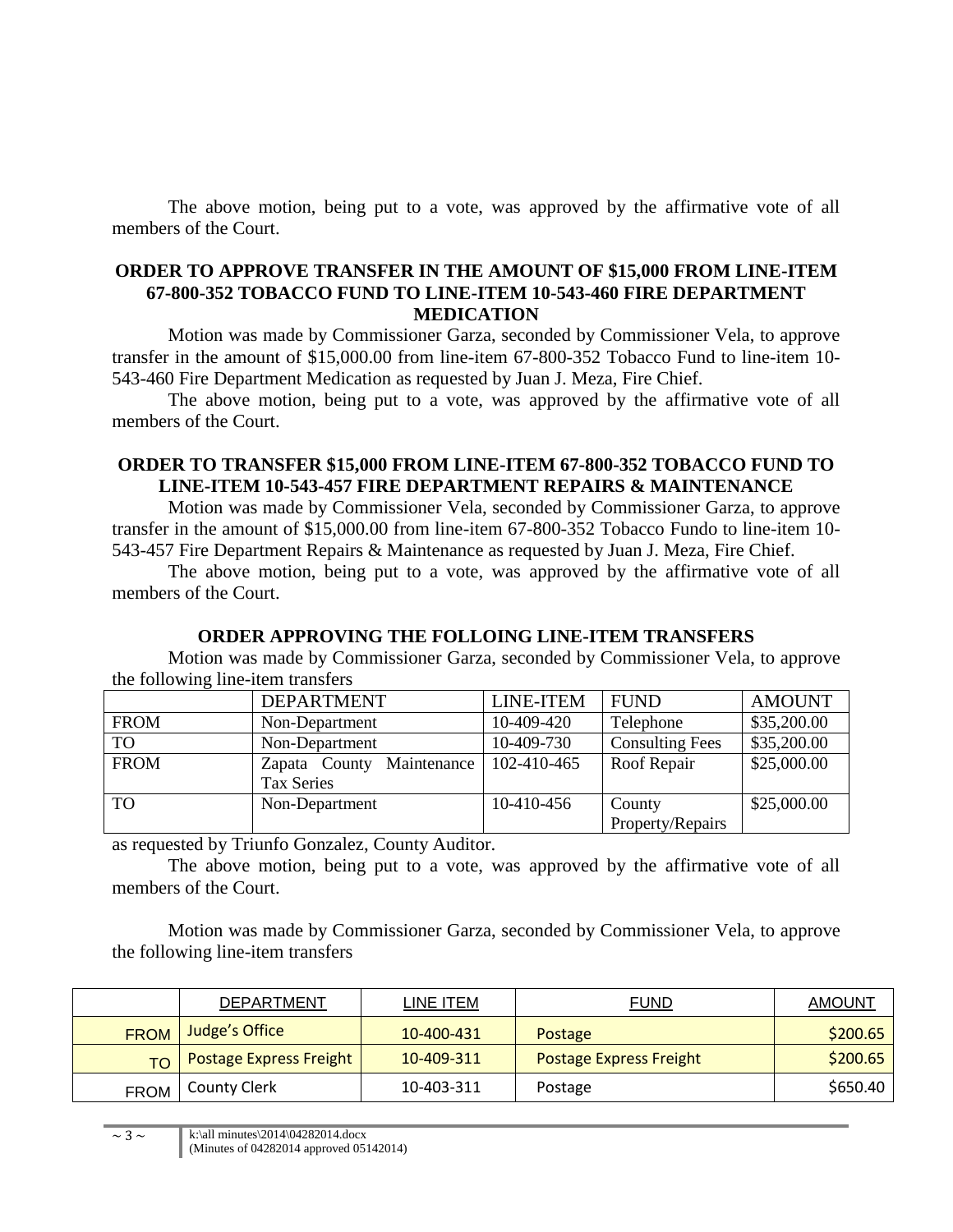The above motion, being put to a vote, was approved by the affirmative vote of all members of the Court.

## **ORDER TO APPROVE TRANSFER IN THE AMOUNT OF \$15,000 FROM LINE-ITEM 67-800-352 TOBACCO FUND TO LINE-ITEM 10-543-460 FIRE DEPARTMENT MEDICATION**

Motion was made by Commissioner Garza, seconded by Commissioner Vela, to approve transfer in the amount of \$15,000.00 from line-item 67-800-352 Tobacco Fund to line-item 10- 543-460 Fire Department Medication as requested by Juan J. Meza, Fire Chief.

The above motion, being put to a vote, was approved by the affirmative vote of all members of the Court.

## **ORDER TO TRANSFER \$15,000 FROM LINE-ITEM 67-800-352 TOBACCO FUND TO LINE-ITEM 10-543-457 FIRE DEPARTMENT REPAIRS & MAINTENANCE**

Motion was made by Commissioner Vela, seconded by Commissioner Garza, to approve transfer in the amount of \$15,000.00 from line-item 67-800-352 Tobacco Fundo to line-item 10- 543-457 Fire Department Repairs & Maintenance as requested by Juan J. Meza, Fire Chief.

The above motion, being put to a vote, was approved by the affirmative vote of all members of the Court.

## **ORDER APPROVING THE FOLLOING LINE-ITEM TRANSFERS**

Motion was made by Commissioner Garza, seconded by Commissioner Vela, to approve the following line-item transfers

|             | <b>DEPARTMENT</b>            | <b>LINE-ITEM</b> | <b>FUND</b>            | <b>AMOUNT</b> |
|-------------|------------------------------|------------------|------------------------|---------------|
| <b>FROM</b> | Non-Department               | 10-409-420       | Telephone              | \$35,200.00   |
| <b>TO</b>   | Non-Department               | 10-409-730       | <b>Consulting Fees</b> | \$35,200.00   |
| <b>FROM</b> | Maintenance<br>Zapata County | 102-410-465      | Roof Repair            | \$25,000.00   |
|             | Tax Series                   |                  |                        |               |
| TO          | Non-Department               | 10-410-456       | County                 | \$25,000.00   |
|             |                              |                  | Property/Repairs       |               |

as requested by Triunfo Gonzalez, County Auditor.

The above motion, being put to a vote, was approved by the affirmative vote of all members of the Court.

Motion was made by Commissioner Garza, seconded by Commissioner Vela, to approve the following line-item transfers

|             | DEPARTMENT                     | LINE ITEM  | <b>FUND</b>             | AMOUNT   |
|-------------|--------------------------------|------------|-------------------------|----------|
| <b>FROM</b> | Judge's Office                 | 10-400-431 | <b>Postage</b>          | \$200.65 |
| TO T        | <b>Postage Express Freight</b> | 10-409-311 | Postage Express Freight | \$200.65 |
| <b>FROM</b> | County Clerk                   | 10-403-311 | Postage                 | \$650.40 |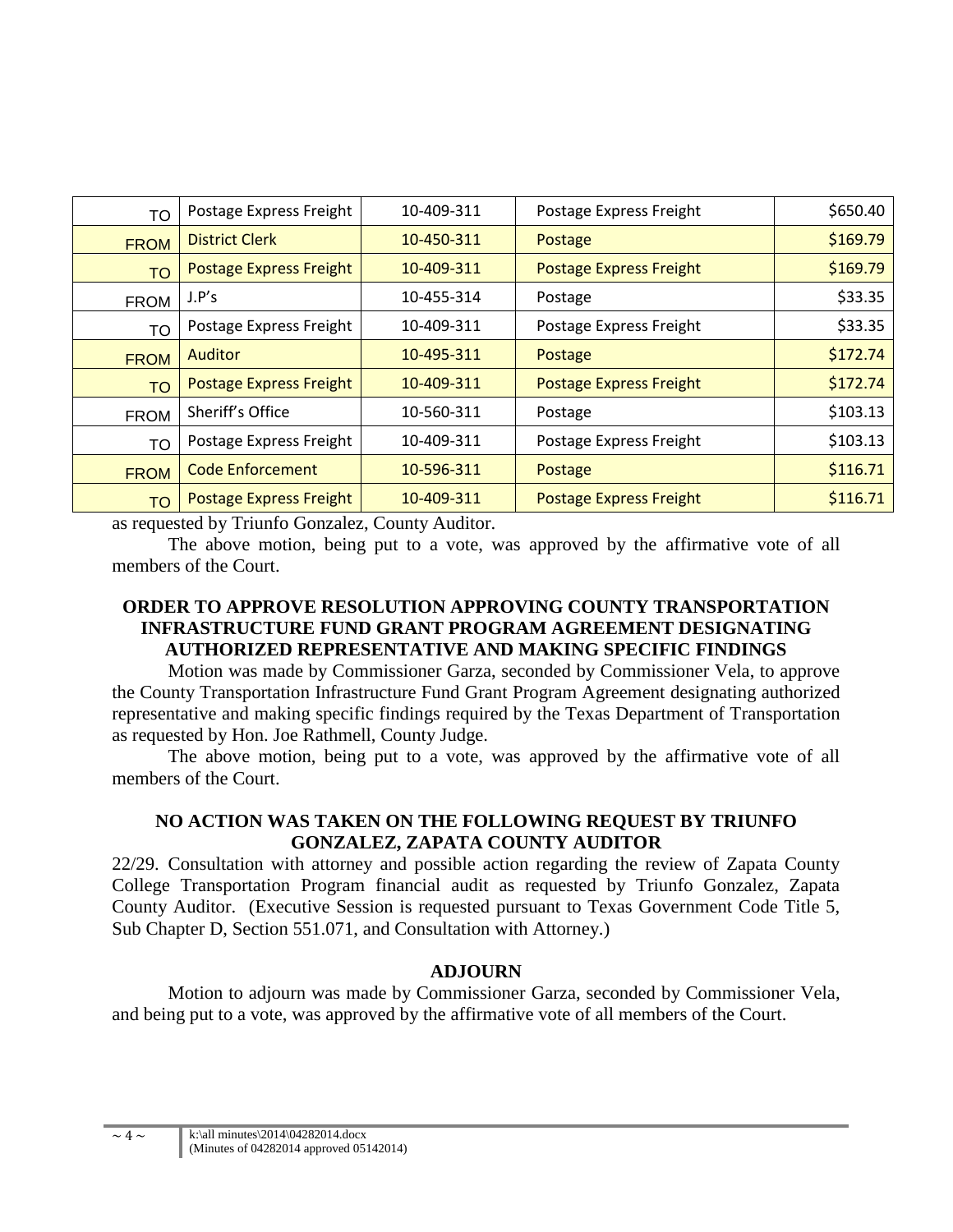| <b>TO</b>   | Postage Express Freight        | 10-409-311 | Postage Express Freight        | \$650.40 |
|-------------|--------------------------------|------------|--------------------------------|----------|
| <b>FROM</b> | <b>District Clerk</b>          | 10-450-311 | Postage                        | \$169.79 |
| <b>TO</b>   | Postage Express Freight        | 10-409-311 | <b>Postage Express Freight</b> | \$169.79 |
| <b>FROM</b> | J.P's                          | 10-455-314 | Postage                        | \$33.35  |
| TO          | Postage Express Freight        | 10-409-311 | Postage Express Freight        | \$33.35  |
| <b>FROM</b> | <b>Auditor</b>                 | 10-495-311 | Postage                        | \$172.74 |
| <b>TO</b>   | <b>Postage Express Freight</b> | 10-409-311 | <b>Postage Express Freight</b> | \$172.74 |
| <b>FROM</b> | Sheriff's Office               | 10-560-311 | Postage                        | \$103.13 |
| <b>TO</b>   | Postage Express Freight        | 10-409-311 | Postage Express Freight        | \$103.13 |
| <b>FROM</b> | <b>Code Enforcement</b>        | 10-596-311 | Postage                        | \$116.71 |
| <b>TO</b>   | Postage Express Freight        | 10-409-311 | Postage Express Freight        | \$116.71 |

as requested by Triunfo Gonzalez, County Auditor.

The above motion, being put to a vote, was approved by the affirmative vote of all members of the Court.

## **ORDER TO APPROVE RESOLUTION APPROVING COUNTY TRANSPORTATION INFRASTRUCTURE FUND GRANT PROGRAM AGREEMENT DESIGNATING AUTHORIZED REPRESENTATIVE AND MAKING SPECIFIC FINDINGS**

Motion was made by Commissioner Garza, seconded by Commissioner Vela, to approve the County Transportation Infrastructure Fund Grant Program Agreement designating authorized representative and making specific findings required by the Texas Department of Transportation as requested by Hon. Joe Rathmell, County Judge.

The above motion, being put to a vote, was approved by the affirmative vote of all members of the Court.

## **NO ACTION WAS TAKEN ON THE FOLLOWING REQUEST BY TRIUNFO GONZALEZ, ZAPATA COUNTY AUDITOR**

22/29. Consultation with attorney and possible action regarding the review of Zapata County College Transportation Program financial audit as requested by Triunfo Gonzalez, Zapata County Auditor. (Executive Session is requested pursuant to Texas Government Code Title 5, Sub Chapter D, Section 551.071, and Consultation with Attorney.)

## **ADJOURN**

Motion to adjourn was made by Commissioner Garza, seconded by Commissioner Vela, and being put to a vote, was approved by the affirmative vote of all members of the Court.